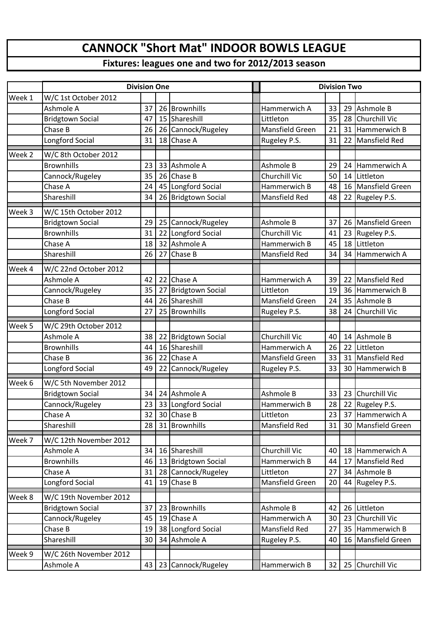## **CANNOCK "Short Mat" INDOOR BOWLS LEAGUE**

## **Fixtures: leagues one and two for 2012/2013 season**

|        | <b>Division One</b>     |    |    |                         |  | <b>Division Two</b>    |    |    |                 |  |
|--------|-------------------------|----|----|-------------------------|--|------------------------|----|----|-----------------|--|
| Week 1 | W/C 1st October 2012    |    |    |                         |  |                        |    |    |                 |  |
|        | Ashmole A               | 37 |    | 26 Brownhills           |  | Hammerwich A           | 33 | 29 | Ashmole B       |  |
|        | <b>Bridgtown Social</b> | 47 | 15 | Shareshill              |  | Littleton              | 35 | 28 | Churchill Vic   |  |
|        | Chase B                 | 26 |    | 26 Cannock/Rugeley      |  | Mansfield Green        | 21 | 31 | Hammerwich B    |  |
|        | Longford Social         | 31 |    | 18 Chase A              |  | Rugeley P.S.           | 31 | 22 | Mansfield Red   |  |
| Week 2 | W/C 8th October 2012    |    |    |                         |  |                        |    |    |                 |  |
|        | <b>Brownhills</b>       | 23 |    | 33 Ashmole A            |  | Ashmole B              | 29 | 24 | Hammerwich A    |  |
|        | Cannock/Rugeley         | 35 | 26 | Chase B                 |  | Churchill Vic          | 50 | 14 | Littleton       |  |
|        | Chase A                 | 24 |    | 45 Longford Social      |  | Hammerwich B           | 48 | 16 | Mansfield Green |  |
|        | Shareshill              | 34 |    | 26 Bridgtown Social     |  | Mansfield Red          | 48 | 22 | Rugeley P.S.    |  |
| Week 3 | W/C 15th October 2012   |    |    |                         |  |                        |    |    |                 |  |
|        | <b>Bridgtown Social</b> | 29 | 25 | Cannock/Rugeley         |  | Ashmole B              | 37 | 26 | Mansfield Green |  |
|        | <b>Brownhills</b>       | 31 | 22 | Longford Social         |  | Churchill Vic          | 41 | 23 | Rugeley P.S.    |  |
|        | Chase A                 | 18 | 32 | Ashmole A               |  | Hammerwich B           | 45 | 18 | Littleton       |  |
|        | Shareshill              | 26 | 27 | Chase B                 |  | <b>Mansfield Red</b>   | 34 | 34 | Hammerwich A    |  |
| Week 4 | W/C 22nd October 2012   |    |    |                         |  |                        |    |    |                 |  |
|        | Ashmole A               | 42 | 22 | Chase A                 |  | Hammerwich A           | 39 | 22 | Mansfield Red   |  |
|        | Cannock/Rugeley         | 35 | 27 | <b>Bridgtown Social</b> |  | Littleton              | 19 | 36 | Hammerwich B    |  |
|        | Chase B                 | 44 |    | 26 Shareshill           |  | Mansfield Green        | 24 | 35 | Ashmole B       |  |
|        | Longford Social         | 27 |    | 25 Brownhills           |  | Rugeley P.S.           | 38 | 24 | Churchill Vic   |  |
| Week 5 | W/C 29th October 2012   |    |    |                         |  |                        |    |    |                 |  |
|        | Ashmole A               | 38 | 22 | <b>Bridgtown Social</b> |  | Churchill Vic          | 40 | 14 | Ashmole B       |  |
|        | <b>Brownhills</b>       | 44 |    | 16 Shareshill           |  | Hammerwich A           | 26 | 22 | Littleton       |  |
|        | Chase B                 | 36 | 22 | Chase A                 |  | Mansfield Green        | 33 | 31 | Mansfield Red   |  |
|        | Longford Social         | 49 |    | 22 Cannock/Rugeley      |  | Rugeley P.S.           | 33 | 30 | Hammerwich B    |  |
| Week 6 | W/C 5th November 2012   |    |    |                         |  |                        |    |    |                 |  |
|        | <b>Bridgtown Social</b> | 34 | 24 | Ashmole A               |  | Ashmole B              | 33 | 23 | Churchill Vic   |  |
|        | Cannock/Rugeley         | 23 |    | 33 Longford Social      |  | Hammerwich B           | 28 |    | 22 Rugeley P.S. |  |
|        | Chase A                 | 32 |    | 30 Chase B              |  | Littleton              | 23 | 37 | Hammerwich A    |  |
|        | Shareshill              | 28 |    | 31 Brownhills           |  | Mansfield Red          | 31 | 30 | Mansfield Green |  |
| Week 7 | W/C 12th November 2012  |    |    |                         |  |                        |    |    |                 |  |
|        | Ashmole A               | 34 |    | 16 Shareshill           |  | Churchill Vic          | 40 | 18 | Hammerwich A    |  |
|        | <b>Brownhills</b>       | 46 |    | 13 Bridgtown Social     |  | Hammerwich B           | 44 | 17 | Mansfield Red   |  |
|        | Chase A                 | 31 |    | 28 Cannock/Rugeley      |  | Littleton              | 27 | 34 | Ashmole B       |  |
|        | Longford Social         | 41 | 19 | Chase B                 |  | <b>Mansfield Green</b> | 20 | 44 | Rugeley P.S.    |  |
| Week 8 | W/C 19th November 2012  |    |    |                         |  |                        |    |    |                 |  |
|        | <b>Bridgtown Social</b> | 37 | 23 | Brownhills              |  | Ashmole B              | 42 | 26 | Littleton       |  |
|        | Cannock/Rugeley         | 45 | 19 | Chase A                 |  | Hammerwich A           | 30 | 23 | Churchill Vic   |  |
|        | Chase B                 | 19 |    | 38 Longford Social      |  | <b>Mansfield Red</b>   | 27 | 35 | Hammerwich B    |  |
|        | Shareshill              | 30 |    | 34 Ashmole A            |  | Rugeley P.S.           | 40 | 16 | Mansfield Green |  |
| Week 9 | W/C 26th November 2012  |    |    |                         |  |                        |    |    |                 |  |
|        | Ashmole A               | 43 |    | 23 Cannock/Rugeley      |  | Hammerwich B           | 32 | 25 | Churchill Vic   |  |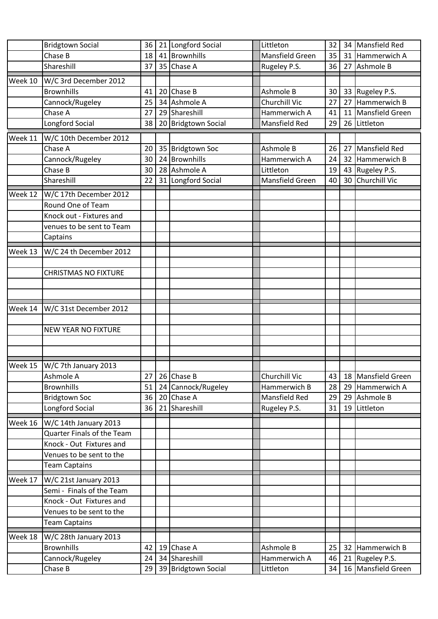|         | <b>Bridgtown Social</b>           | 36 | 21 Longford Social  | Littleton       | 32 |    | 34 Mansfield Red     |
|---------|-----------------------------------|----|---------------------|-----------------|----|----|----------------------|
|         | Chase B                           | 18 | 41 Brownhills       | Mansfield Green | 35 | 31 | Hammerwich A         |
|         | Shareshill                        | 37 | 35 Chase A          | Rugeley P.S.    | 36 | 27 | Ashmole B            |
| Week 10 | W/C 3rd December 2012             |    |                     |                 |    |    |                      |
|         | <b>Brownhills</b>                 | 41 | 20 Chase B          | Ashmole B       | 30 | 33 | Rugeley P.S.         |
|         | Cannock/Rugeley                   | 25 | 34 Ashmole A        | Churchill Vic   | 27 | 27 | Hammerwich B         |
|         | Chase A                           | 27 | 29 Shareshill       | Hammerwich A    | 41 | 11 | Mansfield Green      |
|         | Longford Social                   | 38 | 20 Bridgtown Social | Mansfield Red   | 29 |    | 26 Littleton         |
| Week 11 | W/C 10th December 2012            |    |                     |                 |    |    |                      |
|         | Chase A                           | 20 | 35 Bridgtown Soc    | Ashmole B       | 26 | 27 | Mansfield Red        |
|         | Cannock/Rugeley                   | 30 | 24 Brownhills       | Hammerwich A    | 24 | 32 | Hammerwich B         |
|         | Chase B                           | 30 | 28 Ashmole A        | Littleton       | 19 | 43 | Rugeley P.S.         |
|         | Shareshill                        | 22 | 31 Longford Social  | Mansfield Green | 40 | 30 | <b>Churchill Vic</b> |
| Week 12 | W/C 17th December 2012            |    |                     |                 |    |    |                      |
|         | Round One of Team                 |    |                     |                 |    |    |                      |
|         | Knock out - Fixtures and          |    |                     |                 |    |    |                      |
|         | venues to be sent to Team         |    |                     |                 |    |    |                      |
|         | Captains                          |    |                     |                 |    |    |                      |
|         |                                   |    |                     |                 |    |    |                      |
| Week 13 | W/C 24 th December 2012           |    |                     |                 |    |    |                      |
|         | <b>CHRISTMAS NO FIXTURE</b>       |    |                     |                 |    |    |                      |
|         |                                   |    |                     |                 |    |    |                      |
|         |                                   |    |                     |                 |    |    |                      |
|         |                                   |    |                     |                 |    |    |                      |
| Week 14 | W/C 31st December 2012            |    |                     |                 |    |    |                      |
|         |                                   |    |                     |                 |    |    |                      |
|         | <b>NEW YEAR NO FIXTURE</b>        |    |                     |                 |    |    |                      |
|         |                                   |    |                     |                 |    |    |                      |
|         |                                   |    |                     |                 |    |    |                      |
|         | Week 15   W/C 7th January 2013    |    |                     |                 |    |    |                      |
|         | Ashmole A                         | 27 | 26 Chase B          | Churchill Vic   | 43 | 18 | Mansfield Green      |
|         | <b>Brownhills</b>                 | 51 | 24 Cannock/Rugeley  | Hammerwich B    | 28 | 29 | Hammerwich A         |
|         | <b>Bridgtown Soc</b>              | 36 | 20 Chase A          | Mansfield Red   | 29 | 29 | Ashmole B            |
|         | Longford Social                   | 36 | 21 Shareshill       | Rugeley P.S.    | 31 | 19 | Littleton            |
| Week 16 | W/C 14th January 2013             |    |                     |                 |    |    |                      |
|         | <b>Quarter Finals of the Team</b> |    |                     |                 |    |    |                      |
|         | Knock - Out Fixtures and          |    |                     |                 |    |    |                      |
|         | Venues to be sent to the          |    |                     |                 |    |    |                      |
|         | <b>Team Captains</b>              |    |                     |                 |    |    |                      |
| Week 17 | W/C 21st January 2013             |    |                     |                 |    |    |                      |
|         | Semi - Finals of the Team         |    |                     |                 |    |    |                      |
|         | Knock - Out Fixtures and          |    |                     |                 |    |    |                      |
|         | Venues to be sent to the          |    |                     |                 |    |    |                      |
|         | <b>Team Captains</b>              |    |                     |                 |    |    |                      |
| Week 18 | W/C 28th January 2013             |    |                     |                 |    |    |                      |
|         | <b>Brownhills</b>                 | 42 | 19 Chase A          | Ashmole B       | 25 | 32 | Hammerwich B         |
|         | Cannock/Rugeley                   | 24 | 34 Shareshill       | Hammerwich A    | 46 | 21 | Rugeley P.S.         |
|         | Chase B                           | 29 | 39 Bridgtown Social | Littleton       | 34 |    | 16 Mansfield Green   |
|         |                                   |    |                     |                 |    |    |                      |